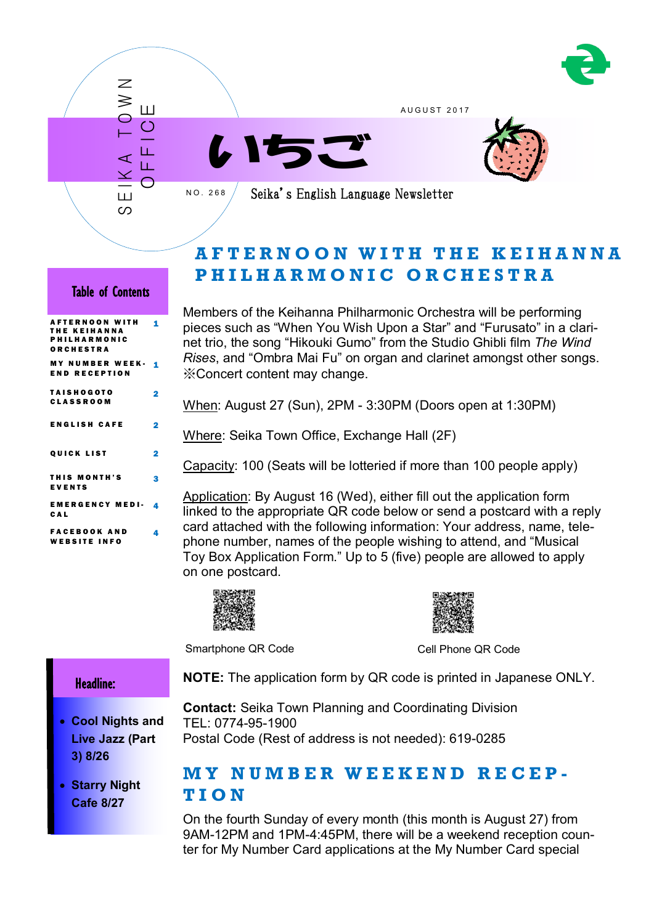

A U G U S T 2 0 1 7





Seika's English Language Newsletter

# **A F T E R N O O N W I T H T H E K E I H A N N A P H I L H A R M O N I C O R C H E S T R A**

## Table of Contents

S E IK A T O W N

Ш တ

 $\overline{\mathcal{Z}}$ ≷

O F F I C E

N O . 2 6 8

| <b>AFTERNOON WITH</b><br><b>THE KEIHANNA</b><br><b>PHILHARMONIC</b><br>ORCHESTRA | 1 |
|----------------------------------------------------------------------------------|---|
| <b>MY NUMBER WEEK-</b><br><b>END RECEPTION</b>                                   | 1 |
| <b>TAISHOGOTO</b><br><b>CLASSROOM</b>                                            | 2 |
| <b>ENGLISH CAFE</b>                                                              | 2 |
| <b>QUICK LIST</b>                                                                | 2 |
| <b>THIS MONTH'S</b><br><b>EVENTS</b>                                             | 3 |
| <b>EMERGENCY MEDI-</b><br>CAL                                                    | 4 |
| <b>FACEBOOK AND</b><br><b>WEBSITE INFO</b>                                       | 4 |

Members of the Keihanna Philharmonic Orchestra will be performing pieces such as "When You Wish Upon a Star" and "Furusato" in a clarinet trio, the song "Hikouki Gumo" from the Studio Ghibli film *The Wind Rises*, and "Ombra Mai Fu" on organ and clarinet amongst other songs. ※Concert content may change.

When: August 27 (Sun), 2PM - 3:30PM (Doors open at 1:30PM)

Where: Seika Town Office, Exchange Hall (2F)

Capacity: 100 (Seats will be lotteried if more than 100 people apply)

Application: By August 16 (Wed), either fill out the application form linked to the appropriate QR code below or send a postcard with a reply card attached with the following information: Your address, name, telephone number, names of the people wishing to attend, and "Musical Toy Box Application Form." Up to 5 (five) people are allowed to apply on one postcard.





Smartphone QR Code Cell Phone QR Code

### Headline:

I

- **Cool Nights and Live Jazz (Part 3) 8/26**
- **Starry Night Cafe 8/27**

**Contact:** Seika Town Planning and Coordinating Division TEL: 0774-95-1900

Postal Code (Rest of address is not needed): 619-0285

# **M Y N U M B E R W E E K E N D R E C E P - T I O N**

On the fourth Sunday of every month (this month is August 27) from 9AM-12PM and 1PM-4:45PM, there will be a weekend reception counter for My Number Card applications at the My Number Card special

**NOTE:** The application form by QR code is printed in Japanese ONLY.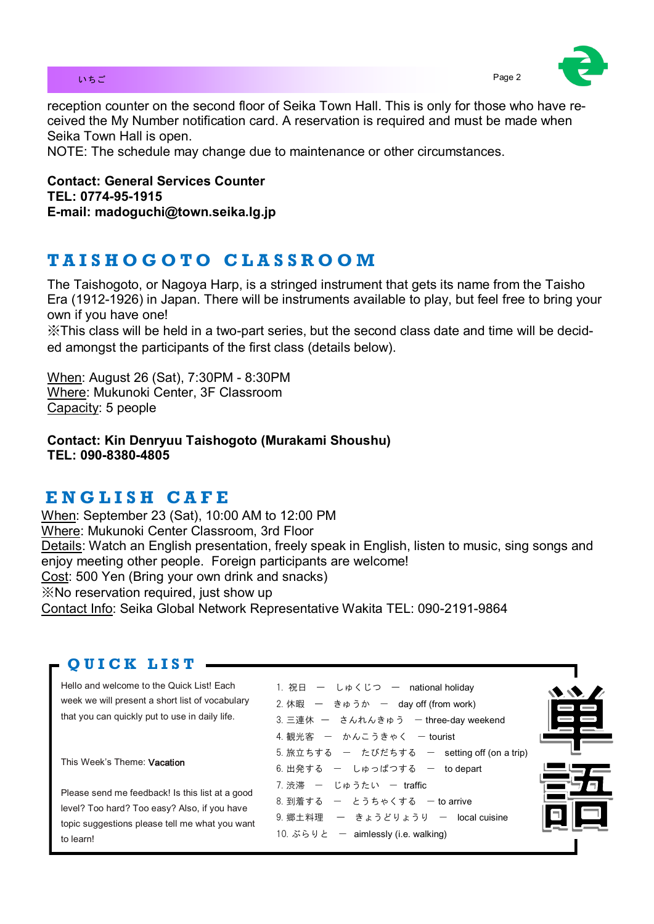

reception counter on the second floor of Seika Town Hall. This is only for those who have received the My Number notification card. A reservation is required and must be made when Seika Town Hall is open.

NOTE: The schedule may change due to maintenance or other circumstances.

**Contact: General Services Counter TEL: 0774-95-1915 E-mail: madoguchi@town.seika.lg.jp**

# **T A I S H O G O T O C L A S S R O O M**

The Taishogoto, or Nagoya Harp, is a stringed instrument that gets its name from the Taisho Era (1912-1926) in Japan. There will be instruments available to play, but feel free to bring your own if you have one!

※This class will be held in a two-part series, but the second class date and time will be decided amongst the participants of the first class (details below).

When: August 26 (Sat), 7:30PM - 8:30PM Where: Mukunoki Center, 3F Classroom Capacity: 5 people

**Contact: Kin Denryuu Taishogoto (Murakami Shoushu) TEL: 090-8380-4805** 

# **E N G L I S H C A F E**

When: September 23 (Sat), 10:00 AM to 12:00 PM Where: Mukunoki Center Classroom, 3rd Floor Details: Watch an English presentation, freely speak in English, listen to music, sing songs and enjoy meeting other people. Foreign participants are welcome! Cost: 500 Yen (Bring your own drink and snacks) ※No reservation required, just show up Contact Info: Seika Global Network Representative Wakita TEL: 090-2191-9864

## **QUICK LIST -**

Hello and welcome to the Quick List! Each week we will present a short list of vocabulary that you can quickly put to use in daily life.

This Week's Theme: Vacation

Please send me feedback! Is this list at a good level? Too hard? Too easy? Also, if you have topic suggestions please tell me what you want to learn!

1. 祝日 ー しゅくじつ ー national holiday  $2.$  休暇 ー きゅうか ー day off (from work) 3. 三連休 ー さんれんきゅう ー three-day weekend 4. 観光客 ー かんこうきゃく ー tourist  $5.$  旅立ちする ー たびだちする ー setting off (on a trip) 6. 出発する - しゅっぱつする - to depart 7. 渋滞 - じゅうたい - traffic  $8.$  到着する  $-$  とうちゃくする  $-$  to arrive  $9.$  郷土料理 ー きょうどりょうり ー local cuisine 10. ぶらりと — aimlessly (i.e. walking)

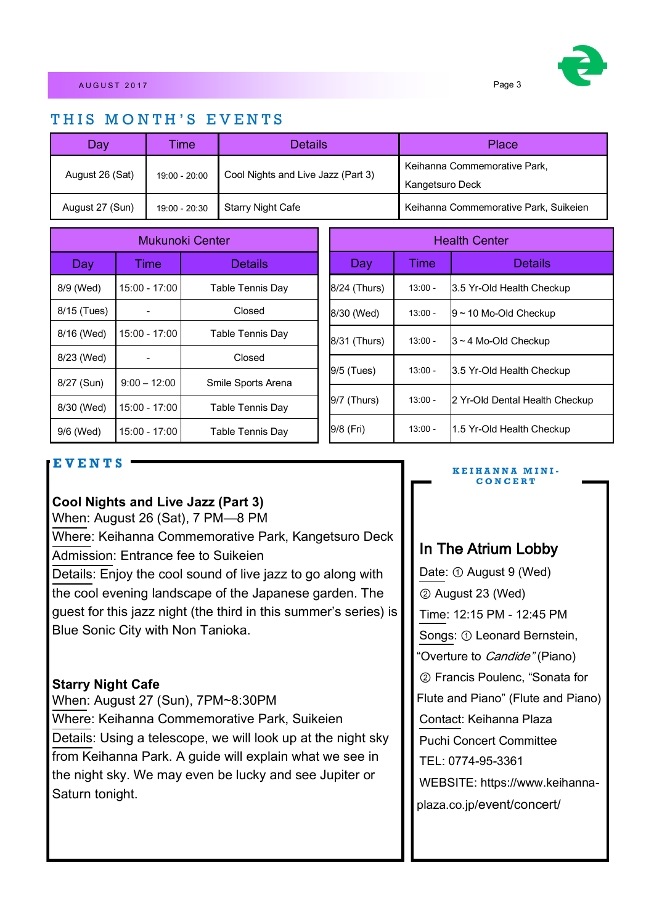## THIS MONTH'S EVENTS

| Day             | ïme           | <b>Details</b>                     | Place                                           |
|-----------------|---------------|------------------------------------|-------------------------------------------------|
| August 26 (Sat) | 19:00 - 20:00 | Cool Nights and Live Jazz (Part 3) | Keihanna Commemorative Park,<br>Kangetsuro Deck |
| August 27 (Sun) | 19:00 - 20:30 | <b>Starry Night Cafe</b>           | Keihanna Commemorative Park, Suikeien           |

| Mukunoki Center |                | <b>Health Center</b> |               |           |                                |
|-----------------|----------------|----------------------|---------------|-----------|--------------------------------|
| Day             | Time           | <b>Details</b>       | Day           | Time      | <b>Details</b>                 |
| 8/9 (Wed)       | 15:00 - 17:00  | Table Tennis Day     | 8/24 (Thurs)  | $13:00 -$ | 3.5 Yr-Old Health Checkup      |
| 8/15 (Tues)     |                | Closed               | 8/30 (Wed)    | $13:00 -$ | $9 - 10$ Mo-Old Checkup        |
| 8/16 (Wed)      | 15:00 - 17:00  | Table Tennis Day     | 8/31 (Thurs)  | $13:00 -$ | $3 - 4$ Mo-Old Checkup         |
| 8/23 (Wed)      |                | Closed               |               |           |                                |
| 8/27 (Sun)      | $9:00 - 12:00$ | Smile Sports Arena   | $9/5$ (Tues)  | $13:00 -$ | 3.5 Yr-Old Health Checkup      |
| 8/30 (Wed)      | 15:00 - 17:00  | Table Tennis Day     | $9/7$ (Thurs) | $13:00 -$ | 2 Yr-Old Dental Health Checkup |
| 9/6 (Wed)       | 15:00 - 17:00  | Table Tennis Day     | 9/8 (Fri)     | $13:00 -$ | 1.5 Yr-Old Health Checkup      |

## **E V E N T S**

## **Cool Nights and Live Jazz (Part 3)**

When: August 26 (Sat), 7 PM—8 PM

Where: Keihanna Commemorative Park, Kangetsuro Deck Admission: Entrance fee to Suikeien

Details: Enjoy the cool sound of live jazz to go along with the cool evening landscape of the Japanese garden. The guest for this jazz night (the third in this summer's series) is Blue Sonic City with Non Tanioka.

## **Starry Night Cafe**

When: August 27 (Sun), 7PM~8:30PM Where: Keihanna Commemorative Park, Suikeien Details: Using a telescope, we will look up at the night sky from Keihanna Park. A guide will explain what we see in the night sky. We may even be lucky and see Jupiter or Saturn tonight.

#### **K E I H A N N A M I N I - C O N C E R T**

# In The Atrium Lobby

Date: ① August 9 (Wed) ② August 23 (Wed) Time: 12:15 PM - 12:45 PM Songs: ① Leonard Bernstein, "Overture to *Candide"* (Piano) ② Francis Poulenc, "Sonata for Flute and Piano" (Flute and Piano) Contact: Keihanna Plaza Puchi Concert Committee TEL: 0774-95-3361 WEBSITE: https://www.keihannaplaza.co.jp/event/concert/